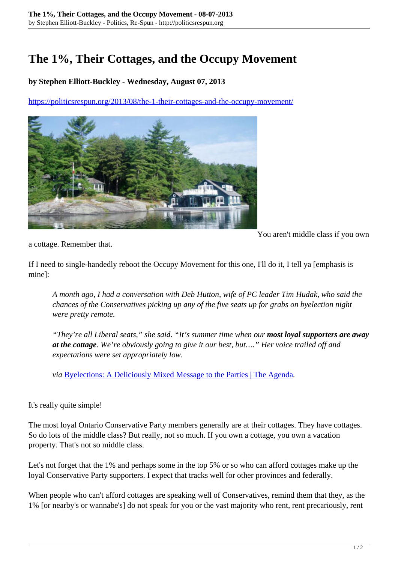## **The 1%, Their Cottages, and the Occupy Movement**

## **by Stephen Elliott-Buckley - Wednesday, August 07, 2013**

<https://politicsrespun.org/2013/08/the-1-their-cottages-and-the-occupy-movement/>



You aren't middle class if you own

a cottage. Remember that.

If I need to single-handedly reboot the Occupy Movement for this one, I'll do it, I tell ya [emphasis is mine]:

*A month ago, I had a conversation with Deb Hutton, wife of PC leader Tim Hudak, who said the chances of the Conservatives picking up any of the five seats up for grabs on byelection night were pretty remote.*

*"They're all Liberal seats," she said. "It's summer time when our most loyal supporters are away at the cottage. We're obviously going to give it our best, but…." Her voice trailed off and expectations were set appropriately low.*

*via* [Byelections: A Deliciously Mixed Message to the Parties | The Agenda](http://theagenda.tvo.org/blog/agenda-blogs/byelections-deliciously-mixed-message-parties)*.*

## It's really quite simple!

The most loyal Ontario Conservative Party members generally are at their cottages. They have cottages. So do lots of the middle class? But really, not so much. If you own a cottage, you own a vacation property. That's not so middle class.

Let's not forget that the 1% and perhaps some in the top 5% or so who can afford cottages make up the loyal Conservative Party supporters. I expect that tracks well for other provinces and federally.

When people who can't afford cottages are speaking well of Conservatives, remind them that they, as the 1% [or nearby's or wannabe's] do not speak for you or the vast majority who rent, rent precariously, rent